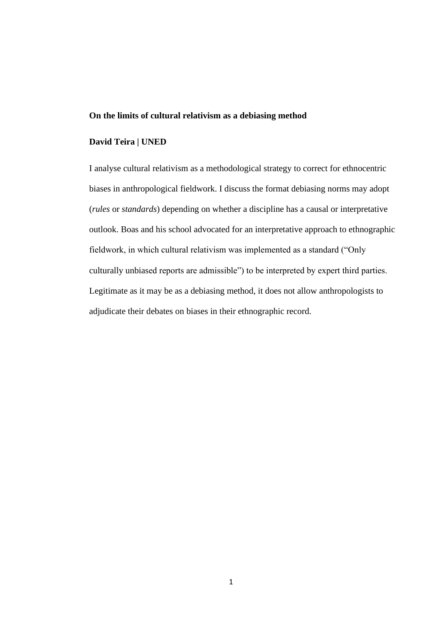#### **On the limits of cultural relativism as a debiasing method**

# **David Teira | UNED**

I analyse cultural relativism as a methodological strategy to correct for ethnocentric biases in anthropological fieldwork. I discuss the format debiasing norms may adopt (*rules* or *standards*) depending on whether a discipline has a causal or interpretative outlook. Boas and his school advocated for an interpretative approach to ethnographic fieldwork, in which cultural relativism was implemented as a standard ("Only culturally unbiased reports are admissible") to be interpreted by expert third parties. Legitimate as it may be as a debiasing method, it does not allow anthropologists to adjudicate their debates on biases in their ethnographic record.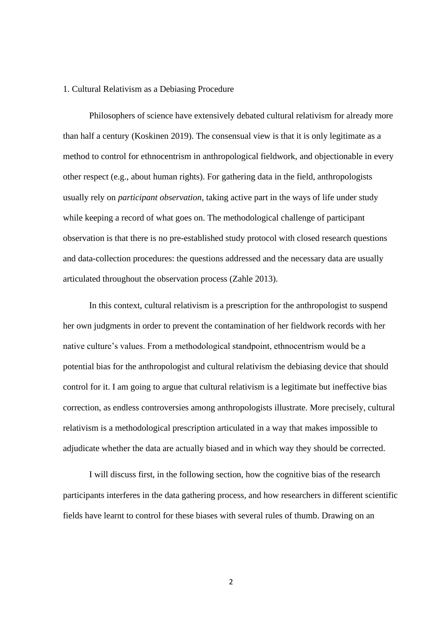### 1. Cultural Relativism as a Debiasing Procedure

Philosophers of science have extensively debated cultural relativism for already more than half a century (Koskinen 2019). The consensual view is that it is only legitimate as a method to control for ethnocentrism in anthropological fieldwork, and objectionable in every other respect (e.g., about human rights). For gathering data in the field, anthropologists usually rely on *participant observation*, taking active part in the ways of life under study while keeping a record of what goes on. The methodological challenge of participant observation is that there is no pre-established study protocol with closed research questions and data-collection procedures: the questions addressed and the necessary data are usually articulated throughout the observation process (Zahle 2013).

In this context, cultural relativism is a prescription for the anthropologist to suspend her own judgments in order to prevent the contamination of her fieldwork records with her native culture's values. From a methodological standpoint, ethnocentrism would be a potential bias for the anthropologist and cultural relativism the debiasing device that should control for it. I am going to argue that cultural relativism is a legitimate but ineffective bias correction, as endless controversies among anthropologists illustrate. More precisely, cultural relativism is a methodological prescription articulated in a way that makes impossible to adjudicate whether the data are actually biased and in which way they should be corrected.

I will discuss first, in the following section, how the cognitive bias of the research participants interferes in the data gathering process, and how researchers in different scientific fields have learnt to control for these biases with several rules of thumb. Drawing on an

 $\mathfrak{p}$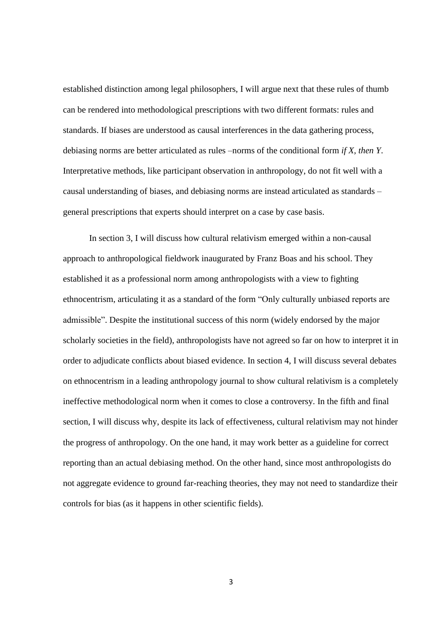established distinction among legal philosophers, I will argue next that these rules of thumb can be rendered into methodological prescriptions with two different formats: rules and standards. If biases are understood as causal interferences in the data gathering process, debiasing norms are better articulated as rules –norms of the conditional form *if X, then Y*. Interpretative methods, like participant observation in anthropology, do not fit well with a causal understanding of biases, and debiasing norms are instead articulated as standards – general prescriptions that experts should interpret on a case by case basis.

In section 3, I will discuss how cultural relativism emerged within a non-causal approach to anthropological fieldwork inaugurated by Franz Boas and his school. They established it as a professional norm among anthropologists with a view to fighting ethnocentrism, articulating it as a standard of the form "Only culturally unbiased reports are admissible". Despite the institutional success of this norm (widely endorsed by the major scholarly societies in the field), anthropologists have not agreed so far on how to interpret it in order to adjudicate conflicts about biased evidence. In section 4, I will discuss several debates on ethnocentrism in a leading anthropology journal to show cultural relativism is a completely ineffective methodological norm when it comes to close a controversy. In the fifth and final section, I will discuss why, despite its lack of effectiveness, cultural relativism may not hinder the progress of anthropology. On the one hand, it may work better as a guideline for correct reporting than an actual debiasing method. On the other hand, since most anthropologists do not aggregate evidence to ground far-reaching theories, they may not need to standardize their controls for bias (as it happens in other scientific fields).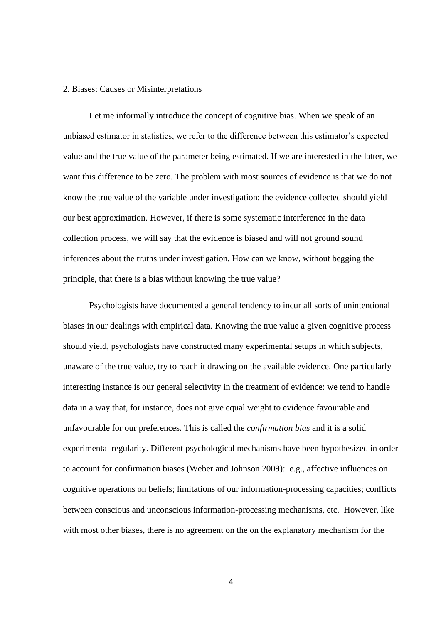### 2. Biases: Causes or Misinterpretations

Let me informally introduce the concept of cognitive bias. When we speak of an unbiased estimator in statistics, we refer to the difference between this estimator's expected value and the true value of the parameter being estimated. If we are interested in the latter, we want this difference to be zero. The problem with most sources of evidence is that we do not know the true value of the variable under investigation: the evidence collected should yield our best approximation. However, if there is some systematic interference in the data collection process, we will say that the evidence is biased and will not ground sound inferences about the truths under investigation. How can we know, without begging the principle, that there is a bias without knowing the true value?

Psychologists have documented a general tendency to incur all sorts of unintentional biases in our dealings with empirical data. Knowing the true value a given cognitive process should yield, psychologists have constructed many experimental setups in which subjects, unaware of the true value, try to reach it drawing on the available evidence. One particularly interesting instance is our general selectivity in the treatment of evidence: we tend to handle data in a way that, for instance, does not give equal weight to evidence favourable and unfavourable for our preferences. This is called the *confirmation bias* and it is a solid experimental regularity. Different psychological mechanisms have been hypothesized in order to account for confirmation biases (Weber and Johnson 2009): e.g., affective influences on cognitive operations on beliefs; limitations of our information-processing capacities; conflicts between conscious and unconscious information-processing mechanisms, etc. However, like with most other biases, there is no agreement on the on the explanatory mechanism for the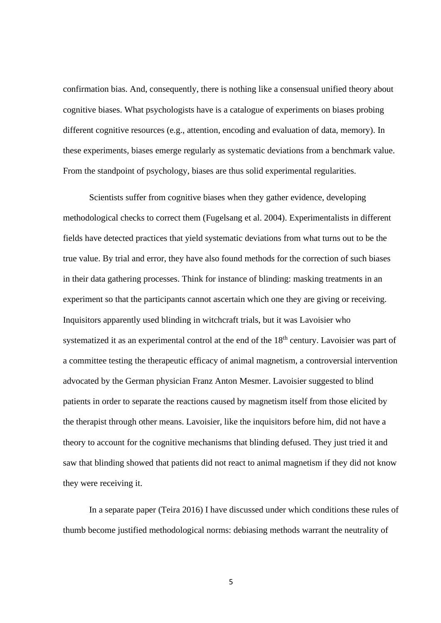confirmation bias. And, consequently, there is nothing like a consensual unified theory about cognitive biases. What psychologists have is a catalogue of experiments on biases probing different cognitive resources (e.g., attention, encoding and evaluation of data, memory). In these experiments, biases emerge regularly as systematic deviations from a benchmark value. From the standpoint of psychology, biases are thus solid experimental regularities.

Scientists suffer from cognitive biases when they gather evidence, developing methodological checks to correct them (Fugelsang et al. 2004). Experimentalists in different fields have detected practices that yield systematic deviations from what turns out to be the true value. By trial and error, they have also found methods for the correction of such biases in their data gathering processes. Think for instance of blinding: masking treatments in an experiment so that the participants cannot ascertain which one they are giving or receiving. Inquisitors apparently used blinding in witchcraft trials, but it was Lavoisier who systematized it as an experimental control at the end of the 18<sup>th</sup> century. Lavoisier was part of a committee testing the therapeutic efficacy of animal magnetism, a controversial intervention advocated by the German physician Franz Anton Mesmer. Lavoisier suggested to blind patients in order to separate the reactions caused by magnetism itself from those elicited by the therapist through other means. Lavoisier, like the inquisitors before him, did not have a theory to account for the cognitive mechanisms that blinding defused. They just tried it and saw that blinding showed that patients did not react to animal magnetism if they did not know they were receiving it.

In a separate paper (Teira 2016) I have discussed under which conditions these rules of thumb become justified methodological norms: debiasing methods warrant the neutrality of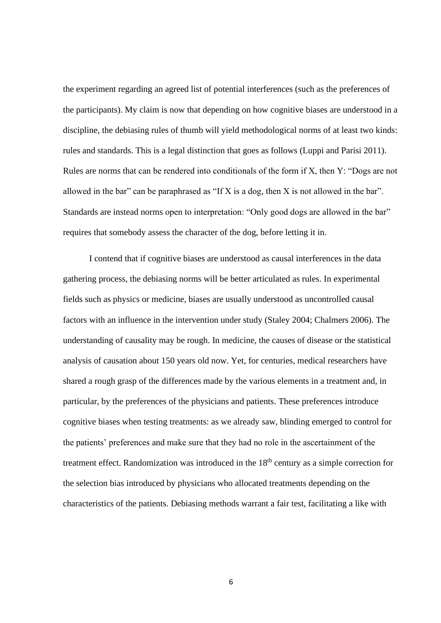the experiment regarding an agreed list of potential interferences (such as the preferences of the participants). My claim is now that depending on how cognitive biases are understood in a discipline, the debiasing rules of thumb will yield methodological norms of at least two kinds: rules and standards. This is a legal distinction that goes as follows (Luppi and Parisi 2011). Rules are norms that can be rendered into conditionals of the form if X, then Y: "Dogs are not allowed in the bar" can be paraphrased as "If X is a dog, then X is not allowed in the bar". Standards are instead norms open to interpretation: "Only good dogs are allowed in the bar" requires that somebody assess the character of the dog, before letting it in.

I contend that if cognitive biases are understood as causal interferences in the data gathering process, the debiasing norms will be better articulated as rules. In experimental fields such as physics or medicine, biases are usually understood as uncontrolled causal factors with an influence in the intervention under study (Staley 2004; Chalmers 2006). The understanding of causality may be rough. In medicine, the causes of disease or the statistical analysis of causation about 150 years old now. Yet, for centuries, medical researchers have shared a rough grasp of the differences made by the various elements in a treatment and, in particular, by the preferences of the physicians and patients. These preferences introduce cognitive biases when testing treatments: as we already saw, blinding emerged to control for the patients' preferences and make sure that they had no role in the ascertainment of the treatment effect. Randomization was introduced in the  $18<sup>th</sup>$  century as a simple correction for the selection bias introduced by physicians who allocated treatments depending on the characteristics of the patients. Debiasing methods warrant a fair test, facilitating a like with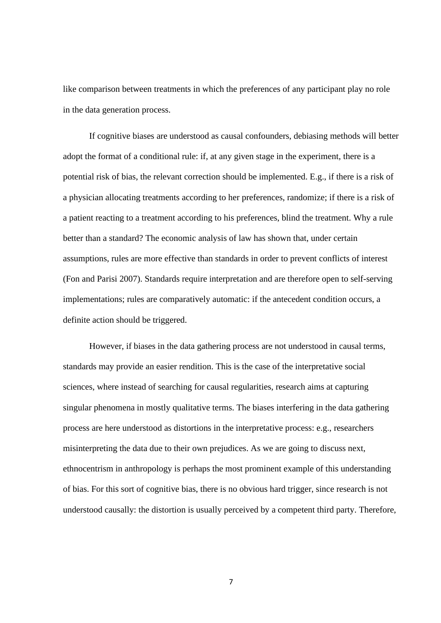like comparison between treatments in which the preferences of any participant play no role in the data generation process.

If cognitive biases are understood as causal confounders, debiasing methods will better adopt the format of a conditional rule: if, at any given stage in the experiment, there is a potential risk of bias, the relevant correction should be implemented. E.g., if there is a risk of a physician allocating treatments according to her preferences, randomize; if there is a risk of a patient reacting to a treatment according to his preferences, blind the treatment. Why a rule better than a standard? The economic analysis of law has shown that, under certain assumptions, rules are more effective than standards in order to prevent conflicts of interest (Fon and Parisi 2007). Standards require interpretation and are therefore open to self-serving implementations; rules are comparatively automatic: if the antecedent condition occurs, a definite action should be triggered.

However, if biases in the data gathering process are not understood in causal terms, standards may provide an easier rendition. This is the case of the interpretative social sciences, where instead of searching for causal regularities, research aims at capturing singular phenomena in mostly qualitative terms. The biases interfering in the data gathering process are here understood as distortions in the interpretative process: e.g., researchers misinterpreting the data due to their own prejudices. As we are going to discuss next, ethnocentrism in anthropology is perhaps the most prominent example of this understanding of bias. For this sort of cognitive bias, there is no obvious hard trigger, since research is not understood causally: the distortion is usually perceived by a competent third party. Therefore,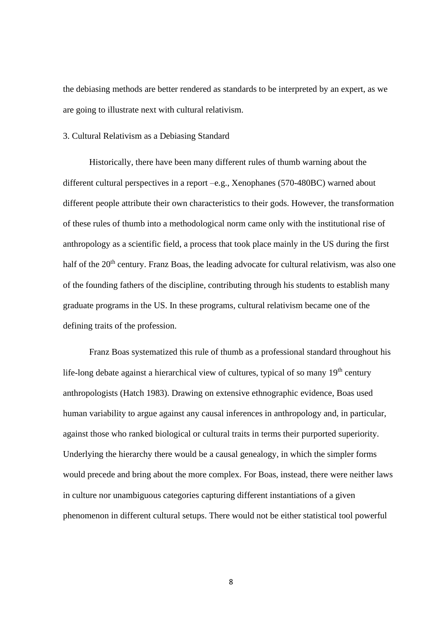the debiasing methods are better rendered as standards to be interpreted by an expert, as we are going to illustrate next with cultural relativism.

## 3. Cultural Relativism as a Debiasing Standard

Historically, there have been many different rules of thumb warning about the different cultural perspectives in a report –e.g., Xenophanes (570-480BC) warned about different people attribute their own characteristics to their gods. However, the transformation of these rules of thumb into a methodological norm came only with the institutional rise of anthropology as a scientific field, a process that took place mainly in the US during the first half of the 20<sup>th</sup> century. Franz Boas, the leading advocate for cultural relativism, was also one of the founding fathers of the discipline, contributing through his students to establish many graduate programs in the US. In these programs, cultural relativism became one of the defining traits of the profession.

Franz Boas systematized this rule of thumb as a professional standard throughout his life-long debate against a hierarchical view of cultures, typical of so many 19<sup>th</sup> century anthropologists (Hatch 1983). Drawing on extensive ethnographic evidence, Boas used human variability to argue against any causal inferences in anthropology and, in particular, against those who ranked biological or cultural traits in terms their purported superiority. Underlying the hierarchy there would be a causal genealogy, in which the simpler forms would precede and bring about the more complex. For Boas, instead, there were neither laws in culture nor unambiguous categories capturing different instantiations of a given phenomenon in different cultural setups. There would not be either statistical tool powerful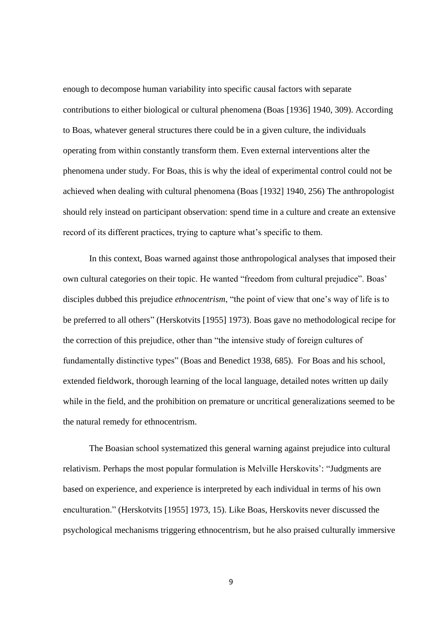enough to decompose human variability into specific causal factors with separate contributions to either biological or cultural phenomena (Boas [1936] 1940, 309). According to Boas, whatever general structures there could be in a given culture, the individuals operating from within constantly transform them. Even external interventions alter the phenomena under study. For Boas, this is why the ideal of experimental control could not be achieved when dealing with cultural phenomena (Boas [1932] 1940, 256) The anthropologist should rely instead on participant observation: spend time in a culture and create an extensive record of its different practices, trying to capture what's specific to them.

In this context, Boas warned against those anthropological analyses that imposed their own cultural categories on their topic. He wanted "freedom from cultural prejudice". Boas' disciples dubbed this prejudice *ethnocentrism*, "the point of view that one's way of life is to be preferred to all others" (Herskotvits [1955] 1973). Boas gave no methodological recipe for the correction of this prejudice, other than "the intensive study of foreign cultures of fundamentally distinctive types" (Boas and Benedict 1938, 685). For Boas and his school, extended fieldwork, thorough learning of the local language, detailed notes written up daily while in the field, and the prohibition on premature or uncritical generalizations seemed to be the natural remedy for ethnocentrism.

The Boasian school systematized this general warning against prejudice into cultural relativism. Perhaps the most popular formulation is Melville Herskovits': "Judgments are based on experience, and experience is interpreted by each individual in terms of his own enculturation." (Herskotvits [1955] 1973, 15). Like Boas, Herskovits never discussed the psychological mechanisms triggering ethnocentrism, but he also praised culturally immersive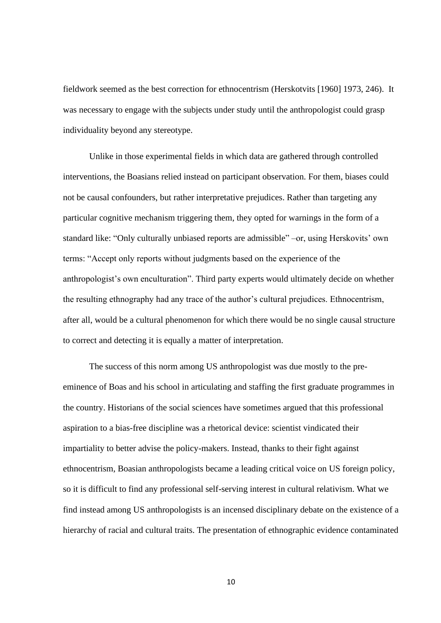fieldwork seemed as the best correction for ethnocentrism (Herskotvits [1960] 1973, 246). It was necessary to engage with the subjects under study until the anthropologist could grasp individuality beyond any stereotype.

Unlike in those experimental fields in which data are gathered through controlled interventions, the Boasians relied instead on participant observation. For them, biases could not be causal confounders, but rather interpretative prejudices. Rather than targeting any particular cognitive mechanism triggering them, they opted for warnings in the form of a standard like: "Only culturally unbiased reports are admissible" –or, using Herskovits' own terms: "Accept only reports without judgments based on the experience of the anthropologist's own enculturation". Third party experts would ultimately decide on whether the resulting ethnography had any trace of the author's cultural prejudices. Ethnocentrism, after all, would be a cultural phenomenon for which there would be no single causal structure to correct and detecting it is equally a matter of interpretation.

The success of this norm among US anthropologist was due mostly to the preeminence of Boas and his school in articulating and staffing the first graduate programmes in the country. Historians of the social sciences have sometimes argued that this professional aspiration to a bias-free discipline was a rhetorical device: scientist vindicated their impartiality to better advise the policy-makers. Instead, thanks to their fight against ethnocentrism, Boasian anthropologists became a leading critical voice on US foreign policy, so it is difficult to find any professional self-serving interest in cultural relativism. What we find instead among US anthropologists is an incensed disciplinary debate on the existence of a hierarchy of racial and cultural traits. The presentation of ethnographic evidence contaminated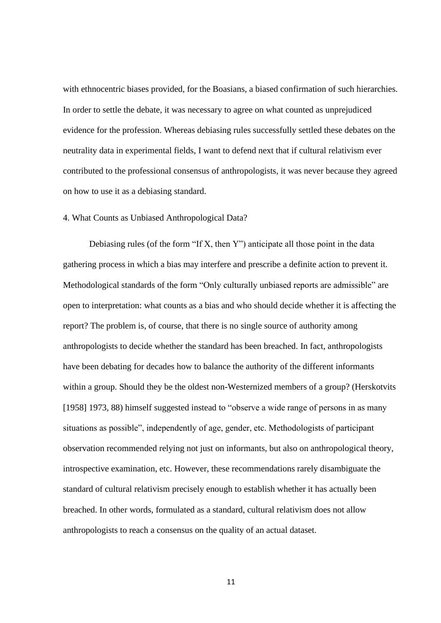with ethnocentric biases provided, for the Boasians, a biased confirmation of such hierarchies. In order to settle the debate, it was necessary to agree on what counted as unprejudiced evidence for the profession. Whereas debiasing rules successfully settled these debates on the neutrality data in experimental fields, I want to defend next that if cultural relativism ever contributed to the professional consensus of anthropologists, it was never because they agreed on how to use it as a debiasing standard.

# 4. What Counts as Unbiased Anthropological Data?

Debiasing rules (of the form "If X, then Y") anticipate all those point in the data gathering process in which a bias may interfere and prescribe a definite action to prevent it. Methodological standards of the form "Only culturally unbiased reports are admissible" are open to interpretation: what counts as a bias and who should decide whether it is affecting the report? The problem is, of course, that there is no single source of authority among anthropologists to decide whether the standard has been breached. In fact, anthropologists have been debating for decades how to balance the authority of the different informants within a group. Should they be the oldest non-Westernized members of a group? (Herskotvits [1958] 1973, 88) himself suggested instead to "observe a wide range of persons in as many situations as possible", independently of age, gender, etc. Methodologists of participant observation recommended relying not just on informants, but also on anthropological theory, introspective examination, etc. However, these recommendations rarely disambiguate the standard of cultural relativism precisely enough to establish whether it has actually been breached. In other words, formulated as a standard, cultural relativism does not allow anthropologists to reach a consensus on the quality of an actual dataset.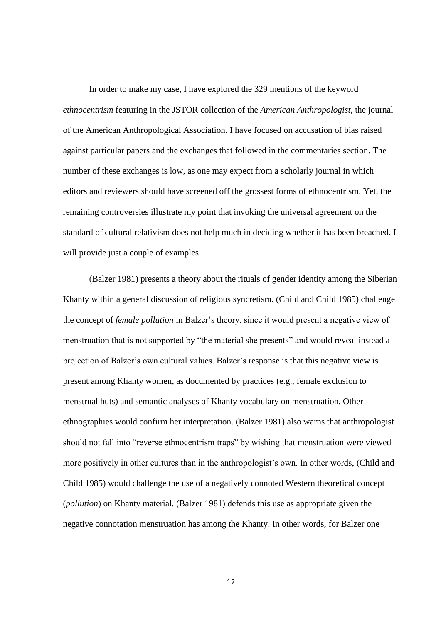In order to make my case, I have explored the 329 mentions of the keyword *ethnocentrism* featuring in the JSTOR collection of the *American Anthropologist*, the journal of the American Anthropological Association. I have focused on accusation of bias raised against particular papers and the exchanges that followed in the commentaries section. The number of these exchanges is low, as one may expect from a scholarly journal in which editors and reviewers should have screened off the grossest forms of ethnocentrism. Yet, the remaining controversies illustrate my point that invoking the universal agreement on the standard of cultural relativism does not help much in deciding whether it has been breached. I will provide just a couple of examples.

(Balzer 1981) presents a theory about the rituals of gender identity among the Siberian Khanty within a general discussion of religious syncretism. (Child and Child 1985) challenge the concept of *female pollution* in Balzer's theory, since it would present a negative view of menstruation that is not supported by "the material she presents" and would reveal instead a projection of Balzer's own cultural values. Balzer's response is that this negative view is present among Khanty women, as documented by practices (e.g., female exclusion to menstrual huts) and semantic analyses of Khanty vocabulary on menstruation. Other ethnographies would confirm her interpretation. (Balzer 1981) also warns that anthropologist should not fall into "reverse ethnocentrism traps" by wishing that menstruation were viewed more positively in other cultures than in the anthropologist's own. In other words, (Child and Child 1985) would challenge the use of a negatively connoted Western theoretical concept (*pollution*) on Khanty material. (Balzer 1981) defends this use as appropriate given the negative connotation menstruation has among the Khanty. In other words, for Balzer one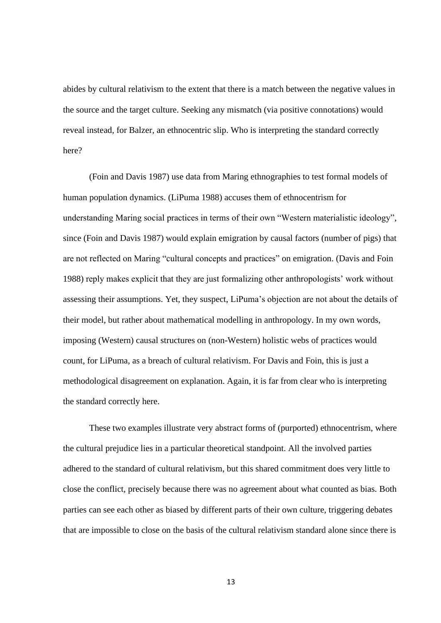abides by cultural relativism to the extent that there is a match between the negative values in the source and the target culture. Seeking any mismatch (via positive connotations) would reveal instead, for Balzer, an ethnocentric slip. Who is interpreting the standard correctly here?

(Foin and Davis 1987) use data from Maring ethnographies to test formal models of human population dynamics. (LiPuma 1988) accuses them of ethnocentrism for understanding Maring social practices in terms of their own "Western materialistic ideology", since (Foin and Davis 1987) would explain emigration by causal factors (number of pigs) that are not reflected on Maring "cultural concepts and practices" on emigration. (Davis and Foin 1988) reply makes explicit that they are just formalizing other anthropologists' work without assessing their assumptions. Yet, they suspect, LiPuma's objection are not about the details of their model, but rather about mathematical modelling in anthropology. In my own words, imposing (Western) causal structures on (non-Western) holistic webs of practices would count, for LiPuma, as a breach of cultural relativism. For Davis and Foin, this is just a methodological disagreement on explanation. Again, it is far from clear who is interpreting the standard correctly here.

These two examples illustrate very abstract forms of (purported) ethnocentrism, where the cultural prejudice lies in a particular theoretical standpoint. All the involved parties adhered to the standard of cultural relativism, but this shared commitment does very little to close the conflict, precisely because there was no agreement about what counted as bias. Both parties can see each other as biased by different parts of their own culture, triggering debates that are impossible to close on the basis of the cultural relativism standard alone since there is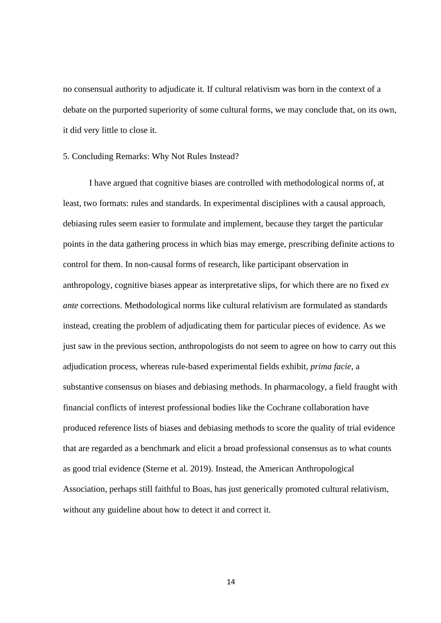no consensual authority to adjudicate it. If cultural relativism was born in the context of a debate on the purported superiority of some cultural forms, we may conclude that, on its own, it did very little to close it.

5. Concluding Remarks: Why Not Rules Instead?

I have argued that cognitive biases are controlled with methodological norms of, at least, two formats: rules and standards. In experimental disciplines with a causal approach, debiasing rules seem easier to formulate and implement, because they target the particular points in the data gathering process in which bias may emerge, prescribing definite actions to control for them. In non-causal forms of research, like participant observation in anthropology, cognitive biases appear as interpretative slips, for which there are no fixed *ex ante* corrections. Methodological norms like cultural relativism are formulated as standards instead, creating the problem of adjudicating them for particular pieces of evidence. As we just saw in the previous section, anthropologists do not seem to agree on how to carry out this adjudication process, whereas rule-based experimental fields exhibit, *prima facie*, a substantive consensus on biases and debiasing methods. In pharmacology, a field fraught with financial conflicts of interest professional bodies like the Cochrane collaboration have produced reference lists of biases and debiasing methods to score the quality of trial evidence that are regarded as a benchmark and elicit a broad professional consensus as to what counts as good trial evidence (Sterne et al. 2019). Instead, the American Anthropological Association, perhaps still faithful to Boas, has just generically promoted cultural relativism, without any guideline about how to detect it and correct it.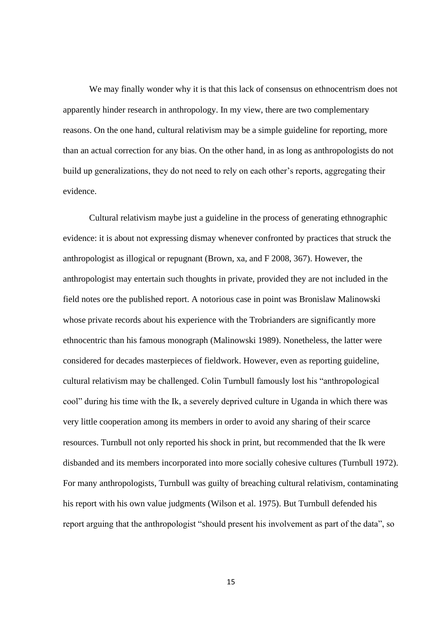We may finally wonder why it is that this lack of consensus on ethnocentrism does not apparently hinder research in anthropology. In my view, there are two complementary reasons. On the one hand, cultural relativism may be a simple guideline for reporting, more than an actual correction for any bias. On the other hand, in as long as anthropologists do not build up generalizations, they do not need to rely on each other's reports, aggregating their evidence.

Cultural relativism maybe just a guideline in the process of generating ethnographic evidence: it is about not expressing dismay whenever confronted by practices that struck the anthropologist as illogical or repugnant (Brown, xa, and F 2008, 367). However, the anthropologist may entertain such thoughts in private, provided they are not included in the field notes ore the published report. A notorious case in point was Bronislaw Malinowski whose private records about his experience with the Trobrianders are significantly more ethnocentric than his famous monograph (Malinowski 1989). Nonetheless, the latter were considered for decades masterpieces of fieldwork. However, even as reporting guideline, cultural relativism may be challenged. Colin Turnbull famously lost his "anthropological cool" during his time with the Ik, a severely deprived culture in Uganda in which there was very little cooperation among its members in order to avoid any sharing of their scarce resources. Turnbull not only reported his shock in print, but recommended that the Ik were disbanded and its members incorporated into more socially cohesive cultures (Turnbull 1972). For many anthropologists, Turnbull was guilty of breaching cultural relativism, contaminating his report with his own value judgments (Wilson et al. 1975). But Turnbull defended his report arguing that the anthropologist "should present his involvement as part of the data", so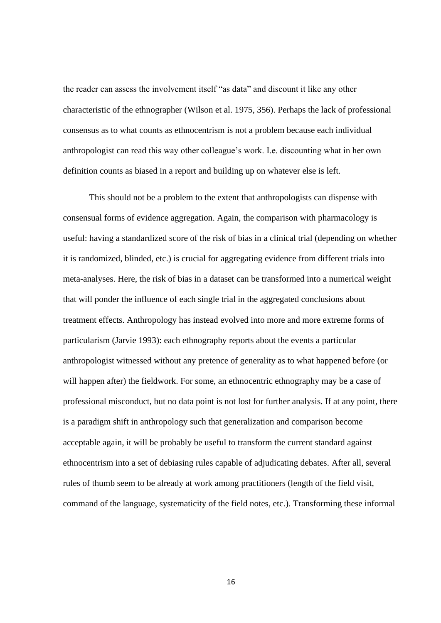the reader can assess the involvement itself "as data" and discount it like any other characteristic of the ethnographer (Wilson et al. 1975, 356). Perhaps the lack of professional consensus as to what counts as ethnocentrism is not a problem because each individual anthropologist can read this way other colleague's work. I.e. discounting what in her own definition counts as biased in a report and building up on whatever else is left.

This should not be a problem to the extent that anthropologists can dispense with consensual forms of evidence aggregation. Again, the comparison with pharmacology is useful: having a standardized score of the risk of bias in a clinical trial (depending on whether it is randomized, blinded, etc.) is crucial for aggregating evidence from different trials into meta-analyses. Here, the risk of bias in a dataset can be transformed into a numerical weight that will ponder the influence of each single trial in the aggregated conclusions about treatment effects. Anthropology has instead evolved into more and more extreme forms of particularism (Jarvie 1993): each ethnography reports about the events a particular anthropologist witnessed without any pretence of generality as to what happened before (or will happen after) the fieldwork. For some, an ethnocentric ethnography may be a case of professional misconduct, but no data point is not lost for further analysis. If at any point, there is a paradigm shift in anthropology such that generalization and comparison become acceptable again, it will be probably be useful to transform the current standard against ethnocentrism into a set of debiasing rules capable of adjudicating debates. After all, several rules of thumb seem to be already at work among practitioners (length of the field visit, command of the language, systematicity of the field notes, etc.). Transforming these informal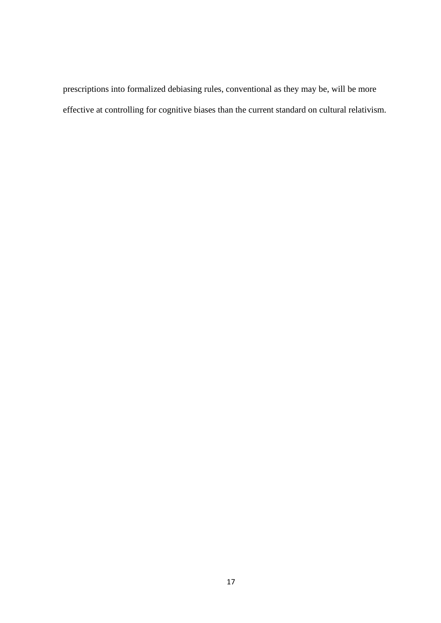prescriptions into formalized debiasing rules, conventional as they may be, will be more effective at controlling for cognitive biases than the current standard on cultural relativism.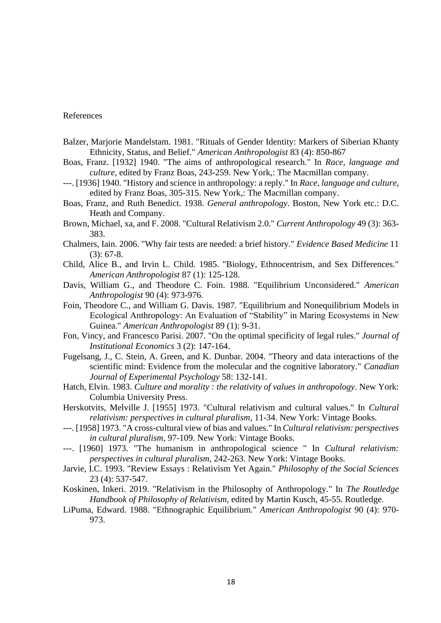#### References

- Balzer, Marjorie Mandelstam. 1981. "Rituals of Gender Identity: Markers of Siberian Khanty Ethnicity, Status, and Belief." *American Anthropologist* 83 (4): 850-867
- Boas, Franz. [1932] 1940. "The aims of anthropological research." In *Race, language and culture*, edited by Franz Boas, 243-259. New York,: The Macmillan company.
- ---. [1936] 1940. "History and science in anthropology: a reply." In *Race, language and culture*, edited by Franz Boas, 305-315. New York,: The Macmillan company.
- Boas, Franz, and Ruth Benedict. 1938. *General anthropology*. Boston, New York etc.: D.C. Heath and Company.
- Brown, Michael, xa, and F. 2008. "Cultural Relativism 2.0." *Current Anthropology* 49 (3): 363- 383.
- Chalmers, Iain. 2006. "Why fair tests are needed: a brief history." *Evidence Based Medicine* 11 (3): 67-8.
- Child, Alice B., and Irvin L. Child. 1985. "Biology, Ethnocentrism, and Sex Differences." *American Anthropologist* 87 (1): 125-128.
- Davis, William G., and Theodore C. Foin. 1988. "Equilibrium Unconsidered." *American Anthropologist* 90 (4): 973-976.
- Foin, Theodore C., and William G. Davis. 1987. "Equilibrium and Nonequilibrium Models in Ecological Anthropology: An Evaluation of "Stability" in Maring Ecosystems in New Guinea." *American Anthropologist* 89 (1): 9-31.
- Fon, Vincy, and Francesco Parisi. 2007. "On the optimal specificity of legal rules." *Journal of Institutional Economics* 3 (2): 147-164.
- Fugelsang, J., C. Stein, A. Green, and K. Dunbar. 2004. "Theory and data interactions of the scientific mind: Evidence from the molecular and the cognitive laboratory." *Canadian Journal of Experimental Psychology* 58: 132-141.
- Hatch, Elvin. 1983. *Culture and morality : the relativity of values in anthropology*. New York: Columbia University Press.
- Herskotvits, Melville J. [1955] 1973. "Cultural relativism and cultural values." In *Cultural relativism: perspectives in cultural pluralism*, 11-34. New York: Vintage Books.
- ---. [1958] 1973. "A cross-cultural view of bias and values." In *Cultural relativism: perspectives in cultural pluralism*, 97-109. New York: Vintage Books.
- ---. [1960] 1973. "The humanism in anthropological science " In *Cultural relativism: perspectives in cultural pluralism*, 242-263. New York: Vintage Books.
- Jarvie, I.C. 1993. "Review Essays : Relativism Yet Again." *Philosophy of the Social Sciences* 23 (4): 537-547.
- Koskinen, Inkeri. 2019. "Relativism in the Philosophy of Anthropology." In *The Routledge Handbook of Philosophy of Relativism*, edited by Martin Kusch, 45-55. Routledge.
- LiPuma, Edward. 1988. "Ethnographic Equilibrium." *American Anthropologist* 90 (4): 970- 973.